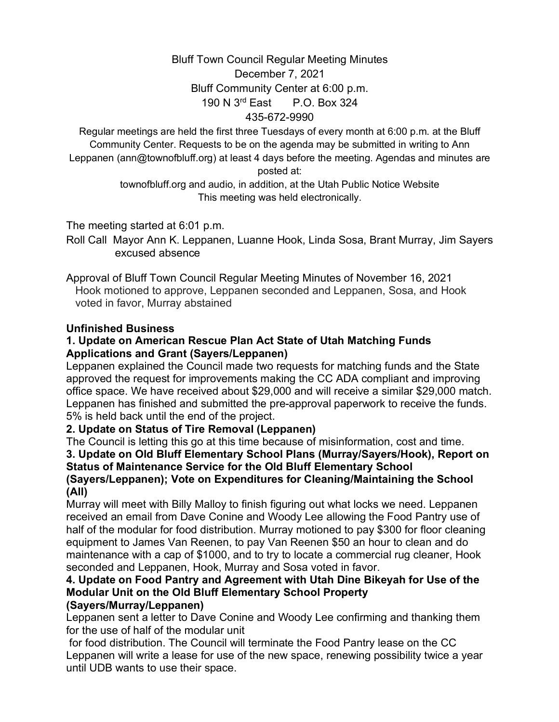### Bluff Town Council Regular Meeting Minutes

## December 7, 2021 Bluff Community Center at 6:00 p.m. 190 N 3rd East P.O. Box 324 435-672-9990

Regular meetings are held the first three Tuesdays of every month at 6:00 p.m. at the Bluff Community Center. Requests to be on the agenda may be submitted in writing to Ann Leppanen (ann@townofbluff.org) at least 4 days before the meeting. Agendas and minutes are posted at:

> townofbluff.org and audio, in addition, at the Utah Public Notice Website This meeting was held electronically.

The meeting started at 6:01 p.m.

Roll Call Mayor Ann K. Leppanen, Luanne Hook, Linda Sosa, Brant Murray, Jim Sayers excused absence

#### Approval of Bluff Town Council Regular Meeting Minutes of November 16, 2021 Hook motioned to approve, Leppanen seconded and Leppanen, Sosa, and Hook voted in favor, Murray abstained

### **Unfinished Business**

#### **1. Update on American Rescue Plan Act State of Utah Matching Funds Applications and Grant (Sayers/Leppanen)**

Leppanen explained the Council made two requests for matching funds and the State approved the request for improvements making the CC ADA compliant and improving office space. We have received about \$29,000 and will receive a similar \$29,000 match. Leppanen has finished and submitted the pre-approval paperwork to receive the funds. 5% is held back until the end of the project.

## **2. Update on Status of Tire Removal (Leppanen)**

The Council is letting this go at this time because of misinformation, cost and time.

#### **3. Update on Old Bluff Elementary School Plans (Murray/Sayers/Hook), Report on Status of Maintenance Service for the Old Bluff Elementary School (Sayers/Leppanen); Vote on Expenditures for Cleaning/Maintaining the School (All)**

Murray will meet with Billy Malloy to finish figuring out what locks we need. Leppanen received an email from Dave Conine and Woody Lee allowing the Food Pantry use of half of the modular for food distribution. Murray motioned to pay \$300 for floor cleaning equipment to James Van Reenen, to pay Van Reenen \$50 an hour to clean and do maintenance with a cap of \$1000, and to try to locate a commercial rug cleaner, Hook seconded and Leppanen, Hook, Murray and Sosa voted in favor.

# **4. Update on Food Pantry and Agreement with Utah Dine Bikeyah for Use of the Modular Unit on the Old Bluff Elementary School Property**

### **(Sayers/Murray/Leppanen)**

Leppanen sent a letter to Dave Conine and Woody Lee confirming and thanking them for the use of half of the modular unit

for food distribution. The Council will terminate the Food Pantry lease on the CC Leppanen will write a lease for use of the new space, renewing possibility twice a year until UDB wants to use their space.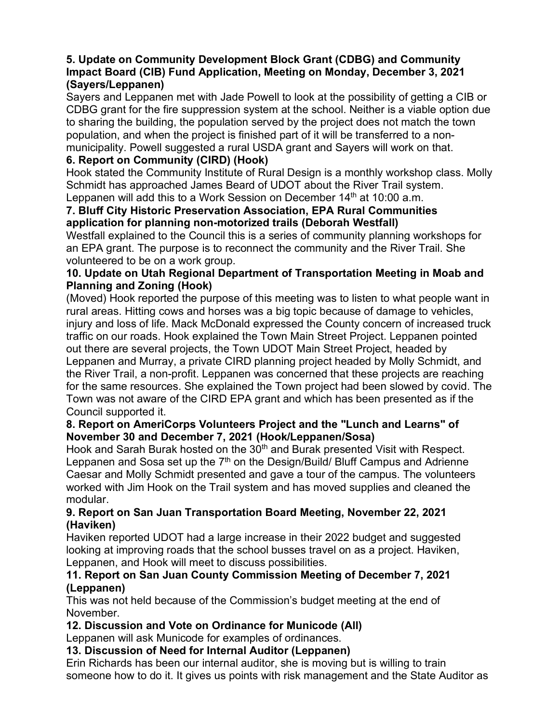### **5. Update on Community Development Block Grant (CDBG) and Community Impact Board (CIB) Fund Application, Meeting on Monday, December 3, 2021 (Sayers/Leppanen)**

Sayers and Leppanen met with Jade Powell to look at the possibility of getting a CIB or CDBG grant for the fire suppression system at the school. Neither is a viable option due to sharing the building, the population served by the project does not match the town population, and when the project is finished part of it will be transferred to a nonmunicipality. Powell suggested a rural USDA grant and Sayers will work on that.

### **6. Report on Community (CIRD) (Hook)**

Hook stated the Community Institute of Rural Design is a monthly workshop class. Molly Schmidt has approached James Beard of UDOT about the River Trail system. Leppanen will add this to a Work Session on December 14<sup>th</sup> at 10:00 a.m.

### **7. Bluff City Historic Preservation Association, EPA Rural Communities application for planning non-motorized trails (Deborah Westfall)**

Westfall explained to the Council this is a series of community planning workshops for an EPA grant. The purpose is to reconnect the community and the River Trail. She volunteered to be on a work group.

### **10. Update on Utah Regional Department of Transportation Meeting in Moab and Planning and Zoning (Hook)**

(Moved) Hook reported the purpose of this meeting was to listen to what people want in rural areas. Hitting cows and horses was a big topic because of damage to vehicles, injury and loss of life. Mack McDonald expressed the County concern of increased truck traffic on our roads. Hook explained the Town Main Street Project. Leppanen pointed out there are several projects, the Town UDOT Main Street Project, headed by Leppanen and Murray, a private CIRD planning project headed by Molly Schmidt, and the River Trail, a non-profit. Leppanen was concerned that these projects are reaching for the same resources. She explained the Town project had been slowed by covid. The Town was not aware of the CIRD EPA grant and which has been presented as if the Council supported it.

#### **8. Report on AmeriCorps Volunteers Project and the "Lunch and Learns" of November 30 and December 7, 2021 (Hook/Leppanen/Sosa)**

Hook and Sarah Burak hosted on the 30<sup>th</sup> and Burak presented Visit with Respect. Leppanen and Sosa set up the 7<sup>th</sup> on the Design/Build/ Bluff Campus and Adrienne Caesar and Molly Schmidt presented and gave a tour of the campus. The volunteers worked with Jim Hook on the Trail system and has moved supplies and cleaned the modular.

#### **9. Report on San Juan Transportation Board Meeting, November 22, 2021 (Haviken)**

Haviken reported UDOT had a large increase in their 2022 budget and suggested looking at improving roads that the school busses travel on as a project. Haviken, Leppanen, and Hook will meet to discuss possibilities.

### **11. Report on San Juan County Commission Meeting of December 7, 2021 (Leppanen)**

This was not held because of the Commission's budget meeting at the end of November.

## **12. Discussion and Vote on Ordinance for Municode (All)**

Leppanen will ask Municode for examples of ordinances.

**13. Discussion of Need for Internal Auditor (Leppanen)**

Erin Richards has been our internal auditor, she is moving but is willing to train someone how to do it. It gives us points with risk management and the State Auditor as